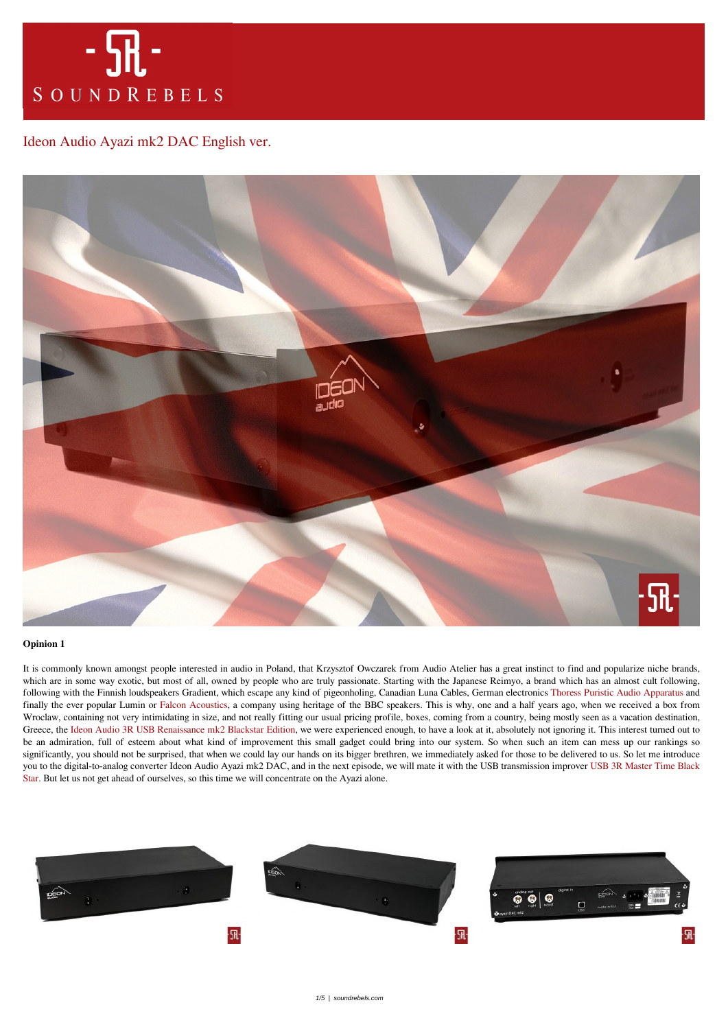

## [Ideon Audio Ayazi mk2 DAC English ver.](https://soundrebels.com/ideon-audio-ayazi-mk2-dac-english-ver/)



## **Opinion 1**

It is commonly known amongst people interested in audio in Poland, that Krzysztof Owczarek from Audio Atelier has a great instinct to find and popularize niche brands, which are in some way exotic, but most of all, owned by people who are truly passionate. Starting with the Japanese Reimyo, a brand which has an almost cult following, following with the Finnish loudspeakers Gradient, which escape any kind of pigeonholing, Canadian Luna Cables, German electronics [Thoress Puristic Audio Apparatus](https://soundrebels.com/audiofil-2017-thoress-puristic-audio-apparatus/) and finally the ever popular Lumin or [Falcon Acoustics](https://soundrebels.com/falcon-acoustics-w-art-and-voice/), a company using heritage of the BBC speakers. This is why, one and a half years ago, when we received a box from Wroclaw, containing not very intimidating in size, and not really fitting our usual pricing profile, boxes, coming from a country, being mostly seen as a vacation destination, Greece, the [Ideon Audio 3R USB Renaissance mk2 Blackstar Edition](https://soundrebels.com/ideon-audio-3r-usb-renaissance-mk2-blackstar-edition/), we were experienced enough, to have a look at it, absolutely not ignoring it. This interest turned out to be an admiration, full of esteem about what kind of improvement this small gadget could bring into our system. So when such an item can mess up our rankings so significantly, you should not be surprised, that when we could lay our hands on its bigger brethren, we immediately asked for those to be delivered to us. So let me introduce you to the digital-to-analog converter Ideon Audio Ayazi mk2 DAC, and in the next episode, we will mate it with the USB transmission improver [USB 3R Master Time Black](https://soundrebels.com/ideon-audio-3r-master-time-black-star-ayazi-mk2-dac/) [Star](https://soundrebels.com/ideon-audio-3r-master-time-black-star-ayazi-mk2-dac/). But let us not get ahead of ourselves, so this time we will concentrate on the Ayazi alone.

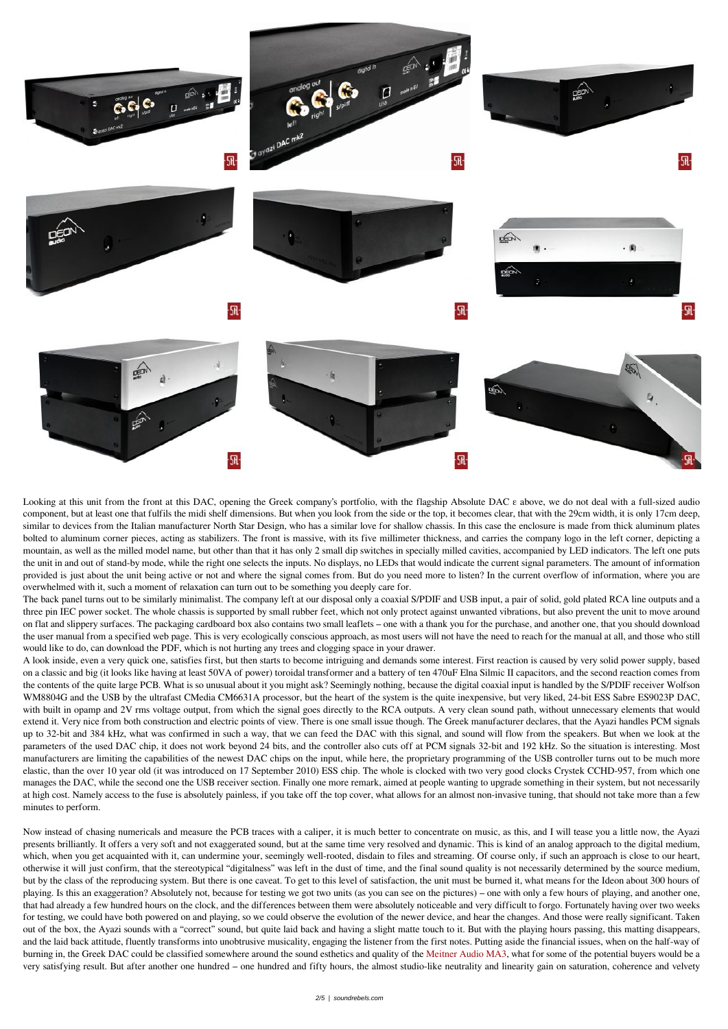

Looking at this unit from the front at this DAC, opening the Greek company's portfolio, with the flagship Absolute DAC ε above, we do not deal with a full-sized audio component, but at least one that fulfils the midi shelf dimensions. But when you look from the side or the top, it becomes clear, that with the 29cm width, it is only 17cm deep, similar to devices from the Italian manufacturer North Star Design, who has a similar love for shallow chassis. In this case the enclosure is made from thick aluminum plates bolted to aluminum corner pieces, acting as stabilizers. The front is massive, with its five millimeter thickness, and carries the company logo in the left corner, depicting a mountain, as well as the milled model name, but other than that it has only 2 small dip switches in specially milled cavities, accompanied by LED indicators. The left one puts the unit in and out of stand-by mode, while the right one selects the inputs. No displays, no LEDs that would indicate the current signal parameters. The amount of information provided is just about the unit being active or not and where the signal comes from. But do you need more to listen? In the current overflow of information, where you are overwhelmed with it, such a moment of relaxation can turn out to be something you deeply care for.

The back panel turns out to be similarly minimalist. The company left at our disposal only a coaxial S/PDIF and USB input, a pair of solid, gold plated RCA line outputs and a three pin IEC power socket. The whole chassis is supported by small rubber feet, which not only protect against unwanted vibrations, but also prevent the unit to move around on flat and slippery surfaces. The packaging cardboard box also contains two small leaflets – one with a thank you for the purchase, and another one, that you should download the user manual from a specified web page. This is very ecologically conscious approach, as most users will not have the need to reach for the manual at all, and those who still would like to do, can download the PDF, which is not hurting any trees and clogging space in your drawer.

A look inside, even a very quick one, satisfies first, but then starts to become intriguing and demands some interest. First reaction is caused by very solid power supply, based on a classic and big (it looks like having at least 50VA of power) toroidal transformer and a battery of ten 470uF Elna Silmic II capacitors, and the second reaction comes from the contents of the quite large PCB. What is so unusual about it you might ask? Seemingly nothing, because the digital coaxial input is handled by the S/PDIF receiver Wolfson WM8804G and the USB by the ultrafast CMedia CM6631A processor, but the heart of the system is the quite inexpensive, but very liked, 24-bit ESS Sabre ES9023P DAC, with built in opamp and 2V rms voltage output, from which the signal goes directly to the RCA outputs. A very clean sound path, without unnecessary elements that would extend it. Very nice from both construction and electric points of view. There is one small issue though. The Greek manufacturer declares, that the Ayazi handles PCM signals up to 32-bit and 384 kHz, what was confirmed in such a way, that we can feed the DAC with this signal, and sound will flow from the speakers. But when we look at the parameters of the used DAC chip, it does not work beyond 24 bits, and the controller also cuts off at PCM signals 32-bit and 192 kHz. So the situation is interesting. Most manufacturers are limiting the capabilities of the newest DAC chips on the input, while here, the proprietary programming of the USB controller turns out to be much more elastic, than the over 10 year old (it was introduced on 17 September 2010) ESS chip. The whole is clocked with two very good clocks Crystek CCHD-957, from which one manages the DAC, while the second one the USB receiver section. Finally one more remark, aimed at people wanting to upgrade something in their system, but not necessarily at high cost. Namely access to the fuse is absolutely painless, if you take off the top cover, what allows for an almost non-invasive tuning, that should not take more than a few minutes to perform.

Now instead of chasing numericals and measure the PCB traces with a caliper, it is much better to concentrate on music, as this, and I will tease you a little now, the Ayazi presents brilliantly. It offers a very soft and not exaggerated sound, but at the same time very resolved and dynamic. This is kind of an analog approach to the digital medium, which, when you get acquainted with it, can undermine your, seemingly well-rooted, disdain to files and streaming. Of course only, if such an approach is close to our heart, otherwise it will just confirm, that the stereotypical "digitalness" was left in the dust of time, and the final sound quality is not necessarily determined by the source medium, but by the class of the reproducing system. But there is one caveat. To get to this level of satisfaction, the unit must be burned it, what means for the Ideon about 300 hours of playing. Is this an exaggeration? Absolutely not, because for testing we got two units (as you can see on the pictures) – one with only a few hours of playing, and another one, that had already a few hundred hours on the clock, and the differences between them were absolutely noticeable and very difficult to forgo. Fortunately having over two weeks for testing, we could have both powered on and playing, so we could observe the evolution of the newer device, and hear the changes. And those were really significant. Taken out of the box, the Ayazi sounds with a "correct" sound, but quite laid back and having a slight matte touch to it. But with the playing hours passing, this matting disappears, and the laid back attitude, fluently transforms into unobtrusive musicality, engaging the listener from the first notes. Putting aside the financial issues, when on the half-way of burning in, the Greek DAC could be classified somewhere around the sound esthetics and quality of the [Meitner Audio MA3,](https://soundrebels.com/meitner-audio-ma3-2/) what for some of the potential buyers would be a very satisfying result. But after another one hundred – one hundred and fifty hours, the almost studio-like neutrality and linearity gain on saturation, coherence and velvety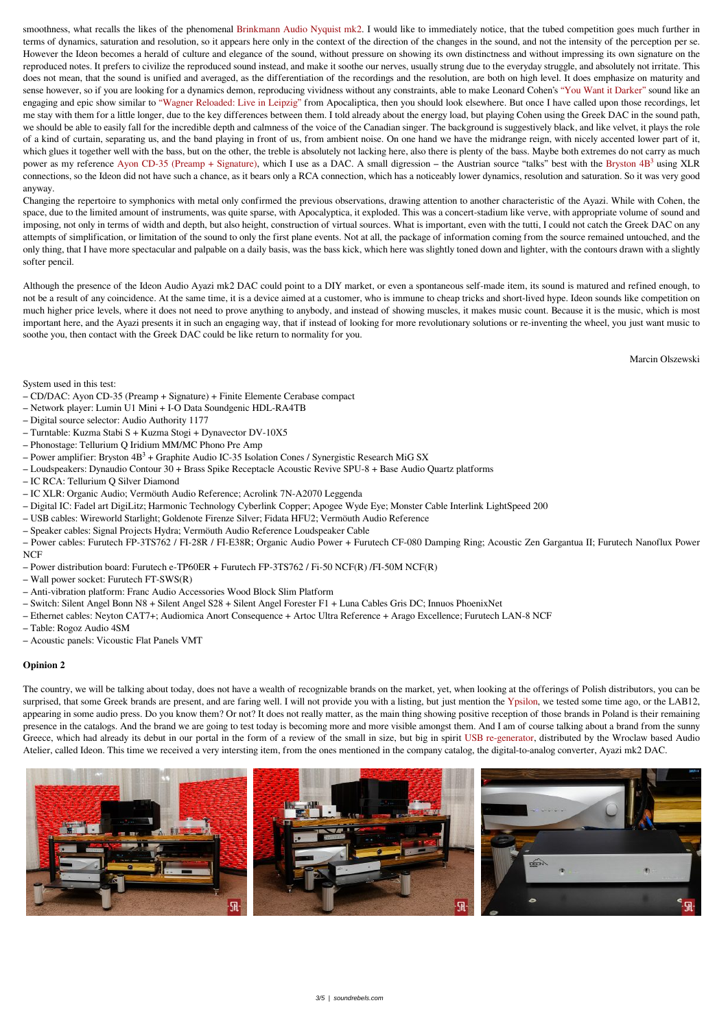smoothness, what recalls the likes of the phenomenal [Brinkmann Audio Nyquist mk2.](https://soundrebels.com/brinkmann-audio-nyquist-mk2/) I would like to immediately notice, that the tubed competition goes much further in terms of dynamics, saturation and resolution, so it appears here only in the context of the direction of the changes in the sound, and not the intensity of the perception per se. However the Ideon becomes a herald of culture and elegance of the sound, without pressure on showing its own distinctness and without impressing its own signature on the reproduced notes. It prefers to civilize the reproduced sound instead, and make it soothe our nerves, usually strung due to the everyday struggle, and absolutely not irritate. This does not mean, that the sound is unified and averaged, as the differentiation of the recordings and the resolution, are both on high level. It does emphasize on maturity and sense however, so if you are looking for a dynamics demon, reproducing vividness without any constraints, able to make Leonard Cohen's ["You Want it Darker"](https://tidal.com/browse/album/66024823) sound like an engaging and epic show similar to ["Wagner Reloaded: Live in Leipzig"](https://tidal.com/browse/album/82154171) from Apocaliptica, then you should look elsewhere. But once I have called upon those recordings, let me stay with them for a little longer, due to the key differences between them. I told already about the energy load, but playing Cohen using the Greek DAC in the sound path, we should be able to easily fall for the incredible depth and calmness of the voice of the Canadian singer. The background is suggestively black, and like velvet, it plays the role of a kind of curtain, separating us, and the band playing in front of us, from ambient noise. On one hand we have the midrange reign, with nicely accented lower part of it, which glues it together well with the bass, but on the other, the treble is absolutely not lacking here, also there is plenty of the bass. Maybe both extremes do not carry as much power as my reference [Ayon CD-35 \(Preamp + Signature\)](https://soundrebels.com/ayon-cd-35-english-ver/), which I use as a DAC. A small digression – the Austrian source "talks" best with the Bryston  $4B<sup>3</sup>$  using XLR connections, so the Ideon did not have such a chance, as it bears only a RCA connection, which has a noticeably lower dynamics, resolution and saturation. So it was very good anyway.

Changing the repertoire to symphonics with metal only confirmed the previous observations, drawing attention to another characteristic of the Ayazi. While with Cohen, the space, due to the limited amount of instruments, was quite sparse, with Apocalyptica, it exploded. This was a concert-stadium like verve, with appropriate volume of sound and imposing, not only in terms of width and depth, but also height, construction of virtual sources. What is important, even with the tutti, I could not catch the Greek DAC on any attempts of simplification, or limitation of the sound to only the first plane events. Not at all, the package of information coming from the source remained untouched, and the only thing, that I have more spectacular and palpable on a daily basis, was the bass kick, which here was slightly toned down and lighter, with the contours drawn with a slightly softer pencil.

Although the presence of the Ideon Audio Ayazi mk2 DAC could point to a DIY market, or even a spontaneous self-made item, its sound is matured and refined enough, to not be a result of any coincidence. At the same time, it is a device aimed at a customer, who is immune to cheap tricks and short-lived hype. Ideon sounds like competition on much higher price levels, where it does not need to prove anything to anybody, and instead of showing muscles, it makes music count. Because it is the music, which is most important here, and the Ayazi presents it in such an engaging way, that if instead of looking for more revolutionary solutions or re-inventing the wheel, you just want music to soothe you, then contact with the Greek DAC could be like return to normality for you.

Marcin Olszewski

System used in this test:

- CD/DAC: Ayon CD-35 (Preamp + Signature) + Finite Elemente Cerabase compact
- Network player: Lumin U1 Mini + I-O Data Soundgenic HDL-RA4TB
- Digital source selector: Audio Authority 1177
- Turntable: Kuzma Stabi S + Kuzma Stogi + Dynavector DV-10X5
- Phonostage: Tellurium Q Iridium MM/MC Phono Pre Amp
- Power amplifier: Bryston  $4B<sup>3</sup>$  + Graphite Audio IC-35 Isolation Cones / Synergistic Research MiG SX
- Loudspeakers: Dynaudio Contour 30 + Brass Spike Receptacle Acoustic Revive SPU-8 + Base Audio Quartz platforms
- IC RCA: Tellurium Q Silver Diamond
- IC XLR: Organic Audio; Vermöuth Audio Reference; Acrolink 7N-A2070 Leggenda
- Digital IC: Fadel art DigiLitz; Harmonic Technology Cyberlink Copper; Apogee Wyde Eye; Monster Cable Interlink LightSpeed 200
- USB cables: Wireworld Starlight; Goldenote Firenze Silver; Fidata HFU2; Vermöuth Audio Reference
- Speaker cables: Signal Projects Hydra; Vermöuth Audio Reference Loudspeaker Cable
- Power cables: Furutech FP-3TS762 / FI-28R / FI-E38R; Organic Audio Power + Furutech CF-080 Damping Ring; Acoustic Zen Gargantua II; Furutech Nanoflux Power NCF
- Power distribution board: Furutech e-TP60ER + Furutech FP-3TS762 / Fi-50 NCF(R) /FI-50M NCF(R)
- Wall power socket: Furutech FT-SWS(R)
- Anti-vibration platform: Franc Audio Accessories Wood Block Slim Platform
- Switch: Silent Angel Bonn N8 + Silent Angel S28 + Silent Angel Forester F1 + Luna Cables Gris DC; Innuos PhoenixNet
- Ethernet cables: Neyton CAT7+; Audiomica Anort Consequence + Artoc Ultra Reference + Arago Excellence; Furutech LAN-8 NCF
- Table: Rogoz Audio 4SM
- Acoustic panels: Vicoustic Flat Panels VMT

## **Opinion 2**

The country, we will be talking about today, does not have a wealth of recognizable brands on the market, yet, when looking at the offerings of Polish distributors, you can be surprised, that some Greek brands are present, and are faring well. I will not provide you with a listing, but just mention the [Ypsilon,](https://soundrebels.com/ypsilon-vps-100/) we tested some time ago, or the LAB12, appearing in some audio press. Do you know them? Or not? It does not really matter, as the main thing showing positive reception of those brands in Poland is their remaining presence in the catalogs. And the brand we are going to test today is becoming more and more visible amongst them. And I am of course talking about a brand from the sunny Greece, which had already its debut in our portal in the form of a review of the small in size, but big in spirit [USB re-generator](https://soundrebels.com/ideon-audio-3r-usb-renaissance-mk2-blackstar-edition/), distributed by the Wroclaw based Audio Atelier, called Ideon. This time we received a very intersting item, from the ones mentioned in the company catalog, the digital-to-analog converter, Ayazi mk2 DAC.

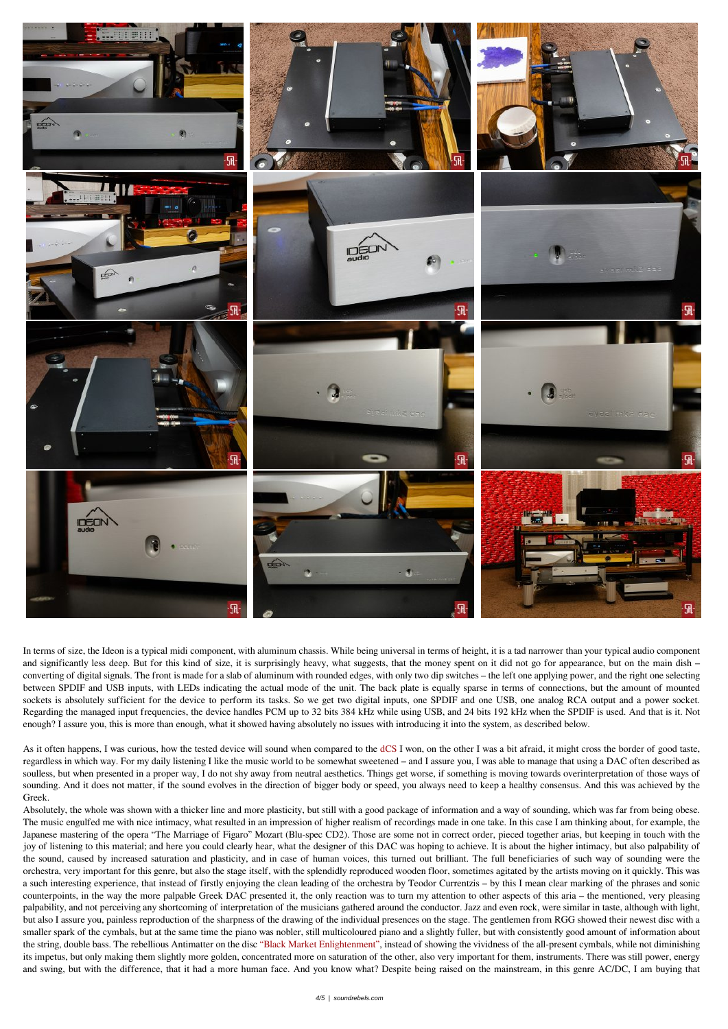





















In terms of size, the Ideon is a typical midi component, with aluminum chassis. While being universal in terms of height, it is a tad narrower than your typical audio component and significantly less deep. But for this kind of size, it is surprisingly heavy, what suggests, that the money spent on it did not go for appearance, but on the main dish – converting of digital signals. The front is made for a slab of aluminum with rounded edges, with only two dip switches – the left one applying power, and the right one selecting between SPDIF and USB inputs, with LEDs indicating the actual mode of the unit. The back plate is equally sparse in terms of connections, but the amount of mounted sockets is absolutely sufficient for the device to perform its tasks. So we get two digital inputs, one SPDIF and one USB, one analog RCA output and a power socket. Regarding the managed input frequencies, the device handles PCM up to 32 bits 384 kHz while using USB, and 24 bits 192 kHz when the SPDIF is used. And that is it. Not enough? I assure you, this is more than enough, what it showed having absolutely no issues with introducing it into the system, as described below.

As it often happens, I was curious, how the tested device will sound when compared to the [dCS](https://soundrebels.com/dcs-vivaldi-dac2/) I won, on the other I was a bit afraid, it might cross the border of good taste, regardless in which way. For my daily listening I like the music world to be somewhat sweetened – and I assure you, I was able to manage that using a DAC often described as soulless, but when presented in a proper way, I do not shy away from neutral aesthetics. Things get worse, if something is moving towards overinterpretation of those ways of sounding. And it does not matter, if the sound evolves in the direction of bigger body or speed, you always need to keep a healthy consensus. And this was achieved by the Greek.

Absolutely, the whole was shown with a thicker line and more plasticity, but still with a good package of information and a way of sounding, which was far from being obese. The music engulfed me with nice intimacy, what resulted in an impression of higher realism of recordings made in one take. In this case I am thinking about, for example, the Japanese mastering of the opera "The Marriage of Figaro" Mozart (Blu-spec CD2). Those are some not in correct order, pieced together arias, but keeping in touch with the joy of listening to this material; and here you could clearly hear, what the designer of this DAC was hoping to achieve. It is about the higher intimacy, but also palpability of the sound, caused by increased saturation and plasticity, and in case of human voices, this turned out brilliant. The full beneficiaries of such way of sounding were the orchestra, very important for this genre, but also the stage itself, with the splendidly reproduced wooden floor, sometimes agitated by the artists moving on it quickly. This was a such interesting experience, that instead of firstly enjoying the clean leading of the orchestra by Teodor Currentzis – by this I mean clear marking of the phrases and sonic counterpoints, in the way the more palpable Greek DAC presented it, the only reaction was to turn my attention to other aspects of this aria – the mentioned, very pleasing palpability, and not perceiving any shortcoming of interpretation of the musicians gathered around the conductor. Jazz and even rock, were similar in taste, although with light, but also I assure you, painless reproduction of the sharpness of the drawing of the individual presences on the stage. The gentlemen from RGG showed their newest disc with a smaller spark of the cymbals, but at the same time the piano was nobler, still multicoloured piano and a slightly fuller, but with consistently good amount of information about the string, double bass. The rebellious Antimatter on the disc ["Black Market Enlightenment",](https://tidal.com/browse/album/97634268) instead of showing the vividness of the all-present cymbals, while not diminishing its impetus, but only making them slightly more golden, concentrated more on saturation of the other, also very important for them, instruments. There was still power, energy and swing, but with the difference, that it had a more human face. And you know what? Despite being raised on the mainstream, in this genre AC/DC, I am buying that